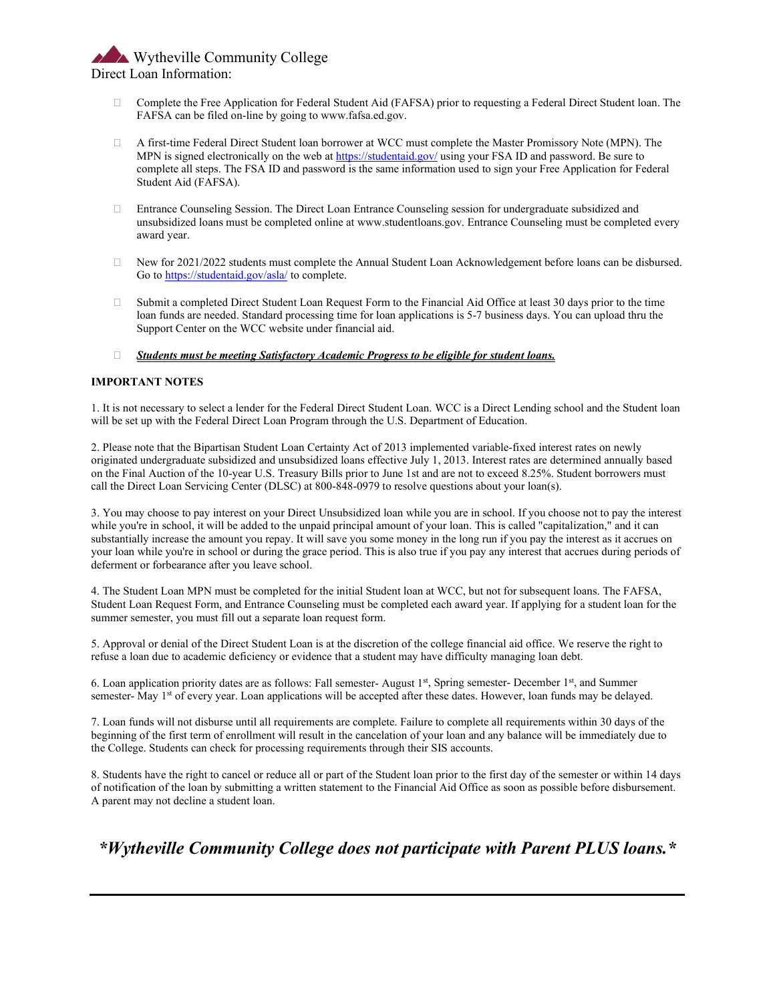## Wytheville Community College Direct Loan Information:

- Complete the Free Application for Federal Student Aid (FAFSA) prior to requesting a Federal Direct Student loan. The FAFSA can be filed on-line by going to www.fafsa.ed.gov.
- A first-time Federal Direct Student loan borrower at WCC must complete the Master Promissory Note (MPN). The MPN is signed electronically on the web a[t https://studentaid.gov/](https://studentaid.gov/) using your FSA ID and password. Be sure to complete all steps. The FSA ID and password is the same information used to sign your Free Application for Federal Student Aid (FAFSA).
- Entrance Counseling Session. The Direct Loan Entrance Counseling session for undergraduate subsidized and unsubsidized loans must be completed online at www.studentloans.gov. Entrance Counseling must be completed every award year.
- New for 2021/2022 students must complete the Annual Student Loan Acknowledgement before loans can be disbursed. Go t[o https://studentaid.gov/asla/](https://studentaid.gov/asla/) to complete.
- $\Box$  Submit a completed Direct Student Loan Request Form to the Financial Aid Office at least 30 days prior to the time loan funds are needed. Standard processing time for loan applications is 5-7 business days. You can upload thru the Support Center on the WCC website under financial aid.

#### *Students must be meeting Satisfactory Academic Progress to be eligible for student loans.*

### **IMPORTANT NOTES**

1. It is not necessary to select a lender for the Federal Direct Student Loan. WCC is a Direct Lending school and the Student loan will be set up with the Federal Direct Loan Program through the U.S. Department of Education.

2. Please note that the Bipartisan Student Loan Certainty Act of 2013 implemented variable-fixed interest rates on newly originated undergraduate subsidized and unsubsidized loans effective July 1, 2013. Interest rates are determined annually based on the Final Auction of the 10-year U.S. Treasury Bills prior to June 1st and are not to exceed 8.25%. Student borrowers must call the Direct Loan Servicing Center (DLSC) at 800-848-0979 to resolve questions about your loan(s).

3. You may choose to pay interest on your Direct Unsubsidized loan while you are in school. If you choose not to pay the interest while you're in school, it will be added to the unpaid principal amount of your loan. This is called "capitalization," and it can substantially increase the amount you repay. It will save you some money in the long run if you pay the interest as it accrues on your loan while you're in school or during the grace period. This is also true if you pay any interest that accrues during periods of deferment or forbearance after you leave school.

4. The Student Loan MPN must be completed for the initial Student loan at WCC, but not for subsequent loans. The FAFSA, Student Loan Request Form, and Entrance Counseling must be completed each award year. If applying for a student loan for the summer semester, you must fill out a separate loan request form.

5. Approval or denial of the Direct Student Loan is at the discretion of the college financial aid office. We reserve the right to refuse a loan due to academic deficiency or evidence that a student may have difficulty managing loan debt.

6. Loan application priority dates are as follows: Fall semester- August 1st, Spring semester- December 1st, and Summer semester- May 1<sup>st</sup> of every year. Loan applications will be accepted after these dates. However, loan funds may be delayed.

7. Loan funds will not disburse until all requirements are complete. Failure to complete all requirements within 30 days of the beginning of the first term of enrollment will result in the cancelation of your loan and any balance will be immediately due to the College. Students can check for processing requirements through their SIS accounts.

8. Students have the right to cancel or reduce all or part of the Student loan prior to the first day of the semester or within 14 days of notification of the loan by submitting a written statement to the Financial Aid Office as soon as possible before disbursement. A parent may not decline a student loan.

*\*Wytheville Community College does not participate with Parent PLUS loans.\**